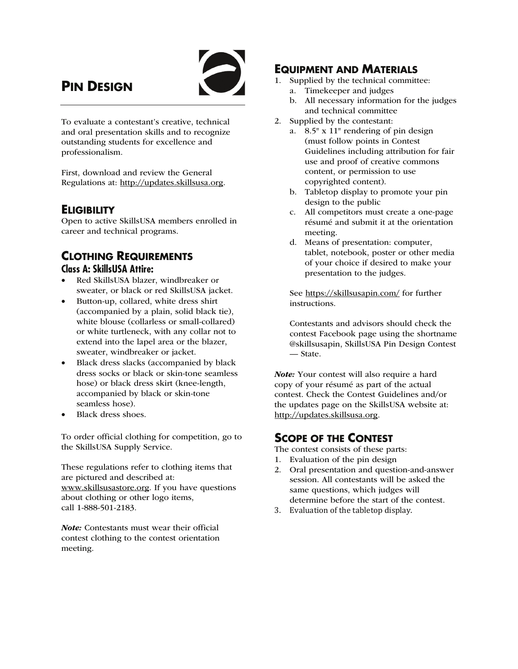# **PIN DESIGN**



To evaluate a contestant's creative, technical and oral presentation skills and to recognize outstanding students for excellence and professionalism.

First, download and review the General Regulations at: http://updates.skillsusa.org.

## **ELIGIBILITY**

Open to active SkillsUSA members enrolled in career and technical programs.

### **CLOTHING REQUIREMENTS Class A: SkillsUSA Attire:**

- Red SkillsUSA blazer, windbreaker or sweater, or black or red SkillsUSA jacket.
- Button-up, collared, white dress shirt (accompanied by a plain, solid black tie), white blouse (collarless or small-collared) or white turtleneck, with any collar not to extend into the lapel area or the blazer, sweater, windbreaker or jacket.
- Black dress slacks (accompanied by black dress socks or black or skin-tone seamless hose) or black dress skirt (knee-length, accompanied by black or skin-tone seamless hose).
- Black dress shoes.

To order official clothing for competition, go to the SkillsUSA Supply Service.

These regulations refer to clothing items that are pictured and described at: www.skillsusastore.org. If you have questions about clothing or other logo items, call 1-888-501-2183.

Note: Contestants must wear their official contest clothing to the contest orientation meeting.

# **EQUIPMENT AND MATERIALS**

- 1. Supplied by the technical committee:
	- a. Timekeeper and judges
	- b. All necessary information for the judges and technical committee
- 2. Supplied by the contestant:
	- a. 8.5" x 11" rendering of pin design (must follow points in Contest Guidelines including attribution for fair use and proof of creative commons content, or permission to use copyrighted content).
	- b. Tabletop display to promote your pin design to the public
	- c. All competitors must create a one-page résumé and submit it at the orientation meeting.
	- d. Means of presentation: computer, tablet, notebook, poster or other media of your choice if desired to make your presentation to the judges.

 See https://skillsusapin.com/ for further instructions.

 Contestants and advisors should check the contest Facebook page using the shortname @skillsusapin, SkillsUSA Pin Design Contest — State.

Note: Your contest will also require a hard copy of your résumé as part of the actual contest. Check the Contest Guidelines and/or the updates page on the SkillsUSA website at: http://updates.skillsusa.org.

# **SCOPE OF THE CONTEST**

The contest consists of these parts:

- 1. Evaluation of the pin design
- 2. Oral presentation and question-and-answer session. All contestants will be asked the same questions, which judges will determine before the start of the contest.
- 3. Evaluation of the tabletop display.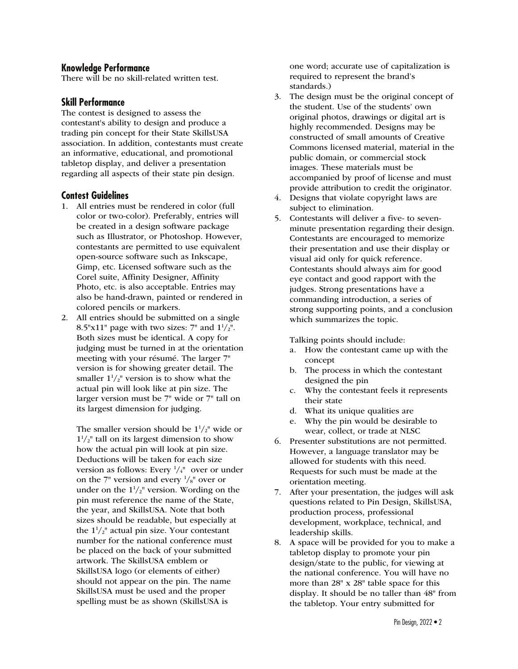#### **Knowledge Performance**

There will be no skill-related written test.

### **Skill Performance**

The contest is designed to assess the contestant's ability to design and produce a trading pin concept for their State SkillsUSA association. In addition, contestants must create an informative, educational, and promotional tabletop display, and deliver a presentation regarding all aspects of their state pin design.

#### **Contest Guidelines**

- 1. All entries must be rendered in color (full color or two-color). Preferably, entries will be created in a design software package such as Illustrator, or Photoshop. However, contestants are permitted to use equivalent open-source software such as Inkscape, Gimp, etc. Licensed software such as the Corel suite, Affinity Designer, Affinity Photo, etc. is also acceptable. Entries may also be hand-drawn, painted or rendered in colored pencils or markers.
- 2. All entries should be submitted on a single 8.5"x11" page with two sizes:  $7"$  and  $1\frac{1}{2}$ ". Both sizes must be identical. A copy for judging must be turned in at the orientation meeting with your résumé. The larger 7" version is for showing greater detail. The smaller  $1^{1}/_{2}$ " version is to show what the actual pin will look like at pin size. The larger version must be 7" wide or 7" tall on its largest dimension for judging.

The smaller version should be  $1\frac{1}{2}$ " wide or  $1^{1}/_{2}$ " tall on its largest dimension to show how the actual pin will look at pin size. Deductions will be taken for each size version as follows: Every  $\frac{1}{4}$ " over or under on the 7" version and every  $\frac{1}{8}$ " over or under on the  $1\frac{1}{2}$ " version. Wording on the pin must reference the name of the State, the year, and SkillsUSA. Note that both sizes should be readable, but especially at the  $1\frac{1}{2}$ " actual pin size. Your contestant number for the national conference must be placed on the back of your submitted artwork. The SkillsUSA emblem or SkillsUSA logo (or elements of either) should not appear on the pin. The name SkillsUSA must be used and the proper spelling must be as shown (SkillsUSA is

one word; accurate use of capitalization is required to represent the brand's standards.)

- 3. The design must be the original concept of the student. Use of the students' own original photos, drawings or digital art is highly recommended. Designs may be constructed of small amounts of Creative Commons licensed material, material in the public domain, or commercial stock images. These materials must be accompanied by proof of license and must provide attribution to credit the originator.
- 4. Designs that violate copyright laws are subject to elimination.
- 5. Contestants will deliver a five- to sevenminute presentation regarding their design. Contestants are encouraged to memorize their presentation and use their display or visual aid only for quick reference. Contestants should always aim for good eye contact and good rapport with the judges. Strong presentations have a commanding introduction, a series of strong supporting points, and a conclusion which summarizes the topic.

Talking points should include:

- a. How the contestant came up with the concept
- b. The process in which the contestant designed the pin
- c. Why the contestant feels it represents their state
- d. What its unique qualities are
- e. Why the pin would be desirable to wear, collect, or trade at NLSC
- 6. Presenter substitutions are not permitted. However, a language translator may be allowed for students with this need. Requests for such must be made at the orientation meeting.
- 7. After your presentation, the judges will ask questions related to Pin Design, SkillsUSA, production process, professional development, workplace, technical, and leadership skills.
- 8. A space will be provided for you to make a tabletop display to promote your pin design/state to the public, for viewing at the national conference. You will have no more than 28" x 28" table space for this display. It should be no taller than 48" from the tabletop. Your entry submitted for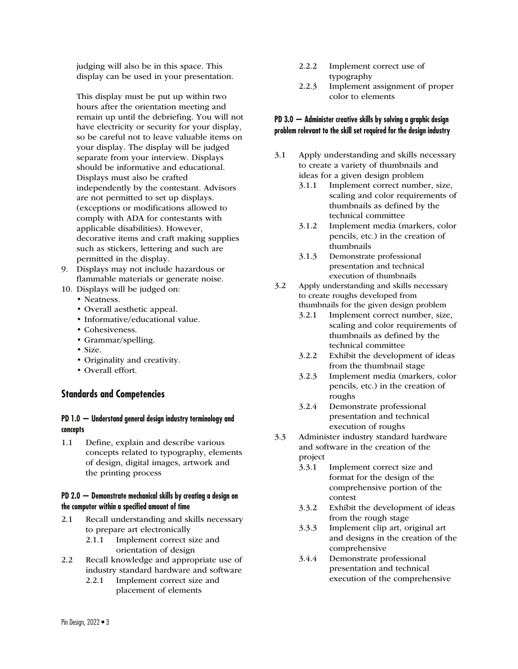judging will also be in this space. This display can be used in your presentation.

 This display must be put up within two hours after the orientation meeting and remain up until the debriefing. You will not have electricity or security for your display, so be careful not to leave valuable items on your display. The display will be judged separate from your interview. Displays should be informative and educational. Displays must also be crafted independently by the contestant. Advisors are not permitted to set up displays. (exceptions or modifications allowed to comply with ADA for contestants with applicable disabilities). However, decorative items and craft making supplies such as stickers, lettering and such are permitted in the display.

- 9. Displays may not include hazardous or flammable materials or generate noise.
- 10. Displays will be judged on:
	- Neatness.
	- Overall aesthetic appeal.
	- Informative/educational value.
	- Cohesiveness.
	- Grammar/spelling.
	- Size.
	- Originality and creativity.
	- Overall effort.

### **Standards and Competencies**

#### **PD 1.0 — Understand general design industry terminology and concepts**

1.1 Define, explain and describe various concepts related to typography, elements of design, digital images, artwork and the printing process

#### **PD 2.0 — Demonstrate mechanical skills by creating a design on the computer within a specified amount of time**

- 2.1 Recall understanding and skills necessary to prepare art electronically
	- 2.1.1 Implement correct size and orientation of design
- 2.2 Recall knowledge and appropriate use of industry standard hardware and software
	- 2.2.1 Implement correct size and
		- placement of elements
- 2.2.2 Implement correct use of typography
- 2.2.3 Implement assignment of proper color to elements

#### **PD 3.0 — Administer creative skills by solving a graphic design problem relevant to the skill set required for the design industry**

- 3.1 Apply understanding and skills necessary to create a variety of thumbnails and ideas for a given design problem
	- 3.1.1 Implement correct number, size, scaling and color requirements of thumbnails as defined by the technical committee
	- 3.1.2 Implement media (markers, color pencils, etc.) in the creation of thumbnails
	- 3.1.3 Demonstrate professional presentation and technical execution of thumbnails
- 3.2 Apply understanding and skills necessary to create roughs developed from thumbnails for the given design problem
	- 3.2.1 Implement correct number, size, scaling and color requirements of thumbnails as defined by the technical committee
	- 3.2.2 Exhibit the development of ideas from the thumbnail stage
	- 3.2.3 Implement media (markers, color pencils, etc.) in the creation of roughs
	- 3.2.4 Demonstrate professional presentation and technical execution of roughs
- 3.3 Administer industry standard hardware and software in the creation of the project
	- 3.3.1 Implement correct size and format for the design of the comprehensive portion of the contest
	- 3.3.2 Exhibit the development of ideas from the rough stage
	- 3.3.3 Implement clip art, original art and designs in the creation of the comprehensive
	- 3.4.4 Demonstrate professional presentation and technical execution of the comprehensive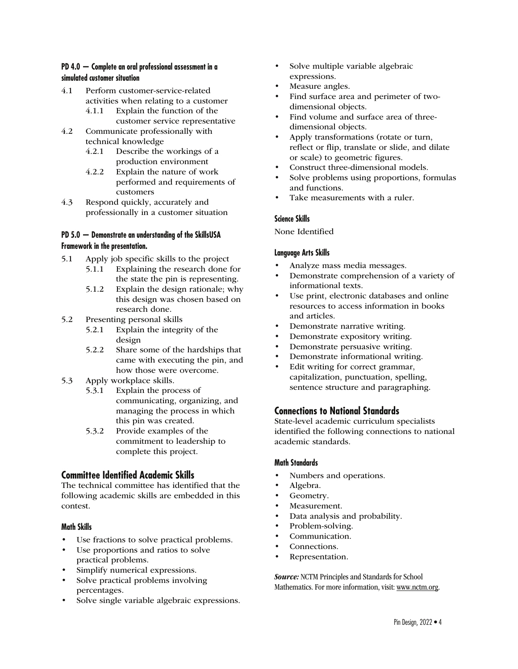#### **PD 4.0 — Complete an oral professional assessment in a simulated customer situation**

- 4.1 Perform customer-service-related activities when relating to a customer
	- 4.1.1 Explain the function of the customer service representative
- 4.2 Communicate professionally with technical knowledge
	- 4.2.1 Describe the workings of a production environment
	- 4.2.2 Explain the nature of work performed and requirements of customers
- 4.3 Respond quickly, accurately and professionally in a customer situation

#### **PD 5.0 — Demonstrate an understanding of the SkillsUSA Framework in the presentation.**

- 5.1 Apply job specific skills to the project
	- 5.1.1 Explaining the research done for the state the pin is representing.
	- 5.1.2 Explain the design rationale; why this design was chosen based on research done.
- 5.2 Presenting personal skills
	- 5.2.1 Explain the integrity of the design
	- 5.2.2 Share some of the hardships that came with executing the pin, and how those were overcome.
- 5.3 Apply workplace skills.
	- 5.3.1 Explain the process of communicating, organizing, and managing the process in which this pin was created.
	- 5.3.2 Provide examples of the commitment to leadership to complete this project.

### **Committee Identified Academic Skills**

The technical committee has identified that the following academic skills are embedded in this contest.

#### **Math Skills**

- Use fractions to solve practical problems.
- Use proportions and ratios to solve practical problems.
- Simplify numerical expressions.
- Solve practical problems involving percentages.
- Solve single variable algebraic expressions.
- Solve multiple variable algebraic expressions.
- Measure angles.
- Find surface area and perimeter of twodimensional objects.
- Find volume and surface area of threedimensional objects.
- Apply transformations (rotate or turn, reflect or flip, translate or slide, and dilate or scale) to geometric figures.
- Construct three-dimensional models.
- Solve problems using proportions, formulas and functions.
- Take measurements with a ruler.

#### **Science Skills**

None Identified

#### **Language Arts Skills**

- Analyze mass media messages.
- Demonstrate comprehension of a variety of informational texts.
- Use print, electronic databases and online resources to access information in books and articles.
- Demonstrate narrative writing.
- Demonstrate expository writing.
- Demonstrate persuasive writing.
- Demonstrate informational writing.
- Edit writing for correct grammar, capitalization, punctuation, spelling, sentence structure and paragraphing.

### **Connections to National Standards**

State-level academic curriculum specialists identified the following connections to national academic standards.

#### **Math Standards**

- Numbers and operations.
- Algebra.
- Geometry.
- Measurement.
- Data analysis and probability.
- Problem-solving.
- Communication.
- Connections.
- Representation.

Source: NCTM Principles and Standards for School Mathematics. For more information, visit: www.nctm.org.